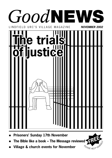

- **Prisoners' Sunday 17th November**
- *FREE* **The Bible like a book The Message reviewed**
- **Village & church events for November**П

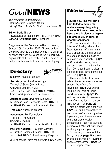## *Good***NEWS**

*This magazine is produced by: Lindfield United Reformed Church, 50 High Street, Lindfield, West Sussex RH16 2HL*

**Editor:** David Tingley <david@visualeclipse.co.uk> Tel: 01444 451024 **Editorial Oversight:** Hilary Shepherd

**Copydate** for the December edition is 12noon, Sunday 10th November 2002. All contributions should be given to the Editor by this time via Email or paper copy can be placed in the "GoodNEWS" pigeon hole at the rear of the church. Please ensure that you include contact details in case of query.

### **Directory**



**Minsiter:** Vacant at present

**Secretary:** Mr. Ron Goodenough "Downside" Stone Quarry Road, Chelwood Gate RH17 7LS Tel: 01825 740351; Fax: 01825 740157 Email: ron@rgoodenough.freeserve.co.uk

**Assistant Secretary:** Mrs. Sue Waller 58 Queens Road, Haywards Heath RH16 1EE Tel: 01444 455047 Email: susanwaller@lineone.net

**Treasurer:** Vacant at present

**Accountant:** Mr. Ken Walden "Prisken" 1 The Cedars, Haywards Heath RH16 1UR Tel: 01444 458707 Email: prisken@btinternet.com

**Pastoral Assistant:** Rev. Mike Gardiner 48 Finches Gardens, Lindfield RH16 2PB Tel: 01444 482559 Email: mike.g@virgin.net

*A list of serving Elders can be found in Who's Who?*

*Editorial*



**I** guess you, like me, has **guess you, like me, have winter evenings beginning to draw in! But never fear, in this issue there is plenty to inspire and amuse you in spite of weather conditions.** 

We have a special feature for Prisoners' Sunday, where Stuart Dew informs us of a few home truths about the Criminal Justice system, and gives us ideas to help out in wider society – **page 4**. On a similar theme, Suzy Jacques shares some thoughts from Corrie ten Boom, a victim in a concentration camp during the war, see **page 8**.

There are plenty of missionrelated items this month – as we support OpenDoors for November **(page 20)** and we read the final part of Dickie Twort's newsletter **(page 22)** and the usual visit to Freetown, care of our resident missionary – Nikki Taylor – on **page 21**.

Kids fun starts with a story on **page 16**, and a competition to win some pre-Christmas goodies! If you are young then make sure you enter these regular competitions – get free stuff and get involved. Why not write about what's going on in your life?

Of course, you can check the family news on **page 9** and see events and services in November on the centre-spread – **page 14**. *David Tingley, editor*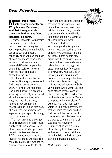#### **Michael Palin, when interviewed recently on TV by Michael Parkinson, said that throughout his travels he had not yet found 'paradise' on earth.**

Strange, I thought, for paradise is all around if one only has the heart to seek and recognise it. You are probably thinking that it is easier to say than accept, especially when you see and hear of world events and experience as we all do at various times, personal difficulties. A paradise on earth is available, however, when the heart and soul is blessed by the Spirit.

It is then when one, by the power of God's spirit, seeks and finds that all things are made anew. It is when we recognise God's hand at work in creation – including people, objects, sound etc – then we are filled with awe, then we give thanks, rejoice in our Creator and cherish all that He has provided. At such times we glimpse and experience, perhaps only briefly, paradise on earth.

The most precious encounter of God's signature on earth must surely be all God's people. Each of us is unique, God inspired and made in His likeness (Genesis 1:27). If we accept that we are made in His image we must also share His nature. Our own nature, however, because of the fall of

Adam and Eve became clothed in the ways of the world and God's nature has become buried deep within our souls. Many consider they are comfortable with this (and many are not) yet within us all God's ways still dwell.

All when challenged acknowledge what is right and wrong, good and bad, truth and untruth, love and hate, light and darkness. Some people may argue that these qualities are of man who has come to define and refine them down through the ages in written law. To counter this viewpoint, who but God by His very nature within us has inspired these feelings that have written mans laws for living?

If then we acknowledge God's very nature dwells within us, then once atoned by the blood of Christ, His Holy Spirit will renew our hearts into His ways. We are then prepared and equipped for witness. With God manifestly within us is it not, therefore, key that we seize the opportunities that present themselves each day to help the unbeliever along the way to catch a glimpse of God and His kingdom?

Imperfect as we are let us shine the light of Christ with enthusiasm to the world. Let's pray that Michael Palin will one day find paradise on earth.

*Mark Turner, Elder*

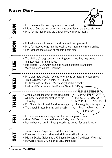### *Prayer Diary*

|            | Prayer Diary                                                                                                                                                                                                                                                                                                                                      |
|------------|---------------------------------------------------------------------------------------------------------------------------------------------------------------------------------------------------------------------------------------------------------------------------------------------------------------------------------------------------|
| <b>NUS</b> | . For ourselves, that we may discern God's will<br>• Lift up to God the person who may be considering the pastorate here<br>• Pray for their family and the Church he/she may be leaving                                                                                                                                                          |
| NON        | • Uphold our worship leaders/musicians and their preparation<br>• Pray for those who go into the local schools from the three churches<br>• For teachers and all staff at schools in this area                                                                                                                                                    |
| TUE        | • The children/young people in our Brigades – that they may come<br>to know Jesus for themselves<br>. Mid Sussex YMCA which seeks to house homeless youngsters<br>. World Aids Day on 1st December                                                                                                                                                |
| WED        | • Pray that more people may desire to attend our regular prayer times<br>(Mon 9.15am, Wed 9.45am, Fri 7.30am)<br>• Iris Green and her team - Wednesday Lunch Fellowship<br>• Last month's mission - Shoe Box and Samaritan's Purse                                                                                                                |
| THUR       | PLEASE REMEMBER<br>TO PRAY EVERY DAY<br>• Annual Church Meeting on 8th November<br>FOR GOD'S CHOICE OF A<br>• All those standing for election to the<br>NEW MINISTER. Also, for<br>Eldership<br>the on-going ministry at<br>• For Charles Martin and Ron Goodenough<br>both Lindfield and<br>• The Church Prayer Evening on Nov 28th<br>Balcombe. |
| ᅊ          | • For inspiration & encouragement for the Evangelism Group<br>• Gwen & Derek Hillman and team - Friday Lunch Fellowship<br>• Remember with thanks those preparing to preach for us this month                                                                                                                                                     |
|            | • Junior Church, Carpe Diem and the 14+ Group<br>• Prisoners, victims of crime and all those working in prisons<br>• Michael Davies (Balcombe URC Interim Moderator) and Leoni Wren (Sec.)<br>• Haywards Heath URC & Lewes URC/ Methodist                                                                                                         |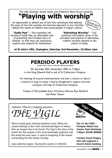### The URC Southern Synod Youth and Children's Work Forum presents **"Playing with worship"**

An opportunity to attend one of two free workshops that address the issue of how the worship and learning approach in our churches reflects the needs of children and young people in today's culture.



**"Godly Play"** – This workshop will introduce Godly Play, an alternative way of presenting the Christian story to children, so that they can experience, explore and respond for themselves.

**"Refreshing Worship"** – This workshop will explore some of the principles and practice of alternative, creative worship relevant to the culture of today.

**at St John's URC, Orpington, Saturday 2nd November, 10.30am-1pm**

### **PERDIDO PLAYERS**

Leader: Peter Swann with John Barling (vocalist)

On Saturday 30th November 2002 at 7.30pm in the King Edward Hall in aid of St Catherine's Hospice.

An evening of musical entertainment and also a chance to dance, a chance to sing, to enjoy a hearty ploughman's supper, convivial company and help St Catherine's Hospice.

Tickets £7.50 available from Christine Giltrow,Tom Burford and Peter Swann.

*Saltmine Theatre Company presents... THE VIGIL* by Ladislas Fodor

When a body goes missing questions arise. When the corpse belongs to the most controversial figure in history then an answer has to be found. The Vigil is the story of the search for that answer in the most potentially explosive trial the world has ever seen. A vivid re-imagining of the events surrounding the first Easter Sunday.

www.saltmine.org/stc. Touring the country in 2002/03.



**Chequer Mead Arts Centre, East Grinstead, 7.30pm. (01342 302000)**

**Contact Fiona Tingley, who will organise a church block booking.**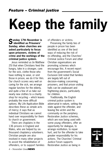# **Keep the family**

#### **Sunday 17th November is identified as Prisoners' Sunday, when churches are asked particularly to focus upon prisoners, victims of crime and the workings of the criminal justice system.**

Jesus reminded us (in Matthew 25) that when Christians feed the hungry, take in a stranger, care for the sick, clothe those who have nothing to wear, or visit those in prison, we do it for Him. Our church scores very well on caring for the sick, we arrange regular lunches for the elderly, and quite a few of us take our nearly new clothes to a charity shop for recycling – which leaves probably the more difficult options. My Life Application Bible describes these as simple acts of mercy; it says that as individual Christians we cannot hand over responsibility for them to church or government.

There are chaplains in the 136 prisons in England and Wales, who are helped by six thousand chaplaincy volunteers. Christian people are also involved in many other projects to assist the rehabilitation of offenders, or to support families of offenders or victims.

Preserving the family ties of people in prison has been identified as one of the best ways of reducing the risk of re–offending, and the Churches' Criminal Justice Forum and other Christian organisations are promoting schemes which encourage this. A recent report from the government's Social Exclusion Unit noted that families are largely left out of decision–making concerning prisoners, and that prison visiting halls can be unpleasant and frightening places, particularly for children.

Traditionally, the English criminal justice system is adversarial in nature, setting the state against the offender, and leaving the victim and the community on the periphery. Restorative Justice schemes, which are now being used with some young offenders, offer an opportunity for dialogue, to arrange restitution, to repair hurt, and for the offender to take greater responsibility for his actions. The Churches' Criminal Justice Forum supports Restorative Justice as being in

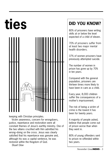

keeping with Christian principles.

Victim awareness, concern for wrongdoers, justice, repentance and restoration were all constant themes of Jesus's earthly ministry. One of the two villains crucified with Him admitted his wrong–doing on the cross. Jesus was clearly satisfied that his repentance was genuine and, although his was a capital sentence, he was restored within the Kingdom of God.

*Stuart Dew*

### **DID YOU KNOW?**

80% of prisoners have writing skills at or below the level expected of a child of eleven.

70% of prisoners suffer from at least two major mental health disorders.

37% of women prisoners have previously attempted suicide.

The number of women in prison has gone up by 70% in ten years.

Compared with the general population, prisoners are thirteen times more likely to have been in care as a child.

Every year, 8,000 children suffer the consequences of a mother's imprisonment.

The risk of being a victim of crime is the lowest it has been for twenty years.

A majority of people asked, believe that people come out of prison worse than when they went in.

80% of young offenders sent to prison re–offended within two years.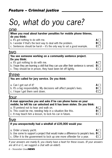## *So, what do you care?*

#### one

**When you read about harsher penalties for mobile phone thieves, do you think:**

- a. It's got nothing to do with me.
- b. I wonder if that's the best way to deal with the problem.
- c. Sentences should be harsh it's the only way to set a good example.

#### two

|                                                                                                                                                                                                                                | You see someone working on a community sentence project. |  |
|--------------------------------------------------------------------------------------------------------------------------------------------------------------------------------------------------------------------------------|----------------------------------------------------------|--|
| Do you think:                                                                                                                                                                                                                  |                                                          |  |
| and the company of the company of the control of the company of the company of the company of the company of the company of the company of the company of the company of the company of the company of the company of the comp |                                                          |  |

a. It's got nothing to do with me.

b. I hope they are learning a skill that they can use after their sentence is served. **B** 

c. They should be in prison, they have been let off lightly.

### three

#### **You are called for jury service. Do you think:**

| a. Can I get out of it? |  |  |  |
|-------------------------|--|--|--|
|                         |  |  |  |

- b. It's a big responsibility. My decisions will affect people's lives.
- c. I hope I get them sent down.

### four

#### **A man approaches you and asks if he can phone home on your mobile; he left his car unlocked and it has been stolen. Do you think:**

a. I'll pretend not to hear and walk on.

- b. This could be me, needing help in a situation like this.
- c. It may teach him a lesson, to lock his car in future.

### five

#### **If you unexpectedly had a windfall of £35,000 would you:**

a. Order a luxury yacht.

**B** b. Use some to support a project that would make a difference to people's lives.

c. Offer it to the government to lock up one more offender for a year.

*If your answers are mainly B, you clearly have a heart for these issues. (If your answers are all A or C, we suggest a chat with an elder!).* 

| ÷. |  |
|----|--|

 $A \Box$ 

 $C \Box$ 

 $A \Box$ **B**  $c \Box$ 

| - -  |  |
|------|--|
| ____ |  |
|      |  |
| _    |  |
|      |  |
|      |  |

 $A \Box$ **B**  $C \Gamma$ 

 $C \Box$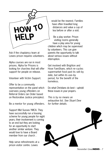

Ask if the chaplaincy team at Lewes prison requires volunteers.

Alpha courses are run in most prisons. Alpha for Prisons is looking for churches that will offer support for people on release.

Volunteer with Victim Support.

Offer to be a community representative on the panel which oversees young offenders on Referral Orders (an Order based on Restorative Justice principles).

Be a mentor for young offenders.

Support Mid Sussex YMCA. They have successfully run a housing scheme for young people for eight years; their involvement is coming to an end but they are looking for an opportunity to start another similar venture. They would love to have a Board member from our church .

Help serve refreshments at a prison visitor centre. Lewes

would be the nearest. Families have often travelled long distances and value a cup of tea before or after a visit.

Be a play worker. Prison visiting rooms generally have a play area for young children which may be supervised by volunteers. This can give parents the opportunity to talk about serious issues without interruption.

Get involved with Brighton and Hove FareShare, which re–cycles supermarket food past its sell–by date, but within its use–by period, for the benefit of the homeless.

Do what Christians do best – uphold these issues in your prayers.

*This is by no means an exhaustive list. See Stuart Dew for further details.* 

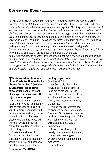### *Corrie ten Boom*

*"It was in a church in Munich that I saw him – a balding heavy–set man in a grey overcoat, a brown felt hat clutched between his hands… It was 1947 and I had come from Holland to defeated Germany with the message that God forgives... One moment I saw the overcoat and the brown hat; the next, a blue uniform and a visored cap with its skull and crossbones. It came back with a rush: the huge room with its harsh overhead lights; the pathetic pile of dresses and shoes in the centre of the floor; the shame of walking naked past this man. I could see my sister's frail form ahead of me, ribs sharp beneath the parchment skin ... The place was Ravensbruck and the man who was making his way forward had been a guard – one of the most cruel guards. Now he was in front of me, hand thrust out: 'A fine message, Fraulein! How good it is to know that, as you say, all our sins are at the bottom of the sea!'*

*And I, who had spoken so glibly of forgiveness, fumbled in my pocketbook rather than take that hand. 'You mentioned Ravensbruck in your talk,' he was saying. 'I was a guard there.'…'But since that time,' he went on, 'I have become a Christian. I know that God has forgiven me for the cruel things I did there, but I would like to hear it from your lips as well. Fraulein,'– again the hand came out – 'will you forgive me?'"*

#### **This is an extract from one of Corrie ten Boom's books "Tramp for the Lord" (Hodder & Stoughton). Re–reading three of her books I've been challenged in many ways. This is just one example.**

Are there things that you are holding on to, which you need to forgive someone for doing to you? Like Corrie you might find this impossible to do in your own strength. If that is the case, please read on. I hope you will find that, where our human nature fails us, God is faithful to help us forgive.

Corrie knew she had to forgive him. God forgives our sins, but we are also taught by Jesus, 'But if you do not forgive men their sins, your Father will

not forgive your sins'. (Matthew 6v15).

Yet Corrie also knew that forgiveness is not an emotion, it is an act of the will. So she prayed that Jesus would help her – if she lifted her hand to the guard, that Jesus would supply the feeling.

And as she did, warmth and forgiveness flooded through her. She knew God's love – it was not her love, it was the power of the Holy Spirit working with her willingness to obey God's commands.

If Corrie could forgive the cruelty of a concentration camp, can you not also forgive whatever wrong has been done against you? *Suzy Jacques*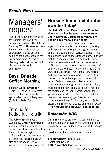## Managers' request

The Spring Clean that moved to the Autumn, has now been 'shunted' into Winter! The date is Saturday **23rd November** from 9am and your help would be appreciated. Please put your name on the notice board in the upper concourse. We will be cleaning parts that our contract cleaners rarely reach! *John Blake*

### **Boys' Brigade Coffee Morning**

#### Saturday **16th November**

10am – 12 noon. All welcome! Cakes for the stall would be appreciated! Contact Terry Ward (01444 482986) for details.

### Trim up for hedge laying talk

The Fellowship will meet on Wednesday **27th November** at 2.45pm, when the speaker will be Mr John Blake who will explain the art of Hedge Laying.

Tea and biscuits will be served at the end of the meeting; there will also be a 'Bring and Buy' stall. Visitors will be made very welcome.

### **Nursing home celebrates own birthday!**

**Lindfield Christian Care Home – Compton House – reaches its tenth anniversary on 2nd November. During those years, 174 people have made it their home.** 

LCCH is held by a group of Trustees who explain: "The residents continue to enjoy looking at and sitting in the lovely gardens, going out on outings and taking part in various activities". The home prides itself on the excellent standard of care that its residents receive, a credit to the many dedicated volunteers and staff who work so hard.

Of course, over the years there have been staff changes. Notably Peter and Jennifer Diack, Olive Ward and Mies Brock – who are all now retired – and Charis Wilson, who moved elsewhere. Janis Daw is now House Manager and more recently Lesley Partington was appointed Matron.

As new statutory regulations come into affect, there are to be more changes to the Home, and the trustees ask for your special prayers for guidance and wisdom for themselves, staff and residents as these changes take place.

"As we give thanks for the past, we ask God's blessing on all who come to live and work at LCCH."

**For regular info on LCCH, see page 28**

### *Balcombe URC*

Our main services are held at 11am on the first and third Sunday of each month and the children usually go out to Sunday School during the second part of the service.

Speakers for this month are as follows:–

**3rd November** Richard Tucker – Communion Service **17th November** Mike Gardiner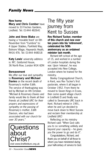**New home Mary and Chris Comber** have moved to 33 Finches Gardens, Lindfield. Tel: 01444 482641

**John and Anne Blake** are having a 'movable feast' on 6th November from "Cumbria" to: 4 Upper Stables, Parkfield Way, Bolnore Village, Haywards Heath, RH16 4TA. Tel: 01444 448018

**Katy Lewis**' university address is: M7, Goldsmid House, 36 North Row, London W1K 6DN

#### **Bereavement**

We offer our love and sympathy to **Rosemary and Michael Davies** on the recent death of Rosemary's mother Edith. The service of thanksgiving was led by Michael on 4th October. *"Michael & Rosemary Davies and family would like to thank all their friends at Lindfield URC for their prayers and expressions of sympathy on the passing of Rosemary's mother, Edith Davison, who had been associated with our church for over 30 years."*

**Questions** about Christ? visit www.lindfieldurc.org.uk The fifty year journey from Kent to Sussex

**Rev Richard Tucker, member of this church and now over ten years into his 'retirement', celebrated his 50th anniversary as an ordained minister last month.** 

Richard left school at the age of 15, and worked in a number of London hospitals during the war. Upon 'release', he was accepted into New College, London where he trained for the ministry.

Bexley Congregational Church, in Kent, was Rev Tucker's first pastorate, where it all began in October 1952. From there he moved to Seven Kings in Essex, then some quaint village church in Lindfield (!) and finally was called to Sevenoaks URC back in Kent. Richard retired in 1991, when he and Lyn decided to move back down to West Sussex and reclaim their membership at Lindfield URC!

Reflecting on his ministry Richard said: "When God calls you to so something unlikely and beyond your capacity – he gives you the power to go and do it".

Congratulations, Richard, and thank you on behalf of all those to whom you have ministered during your half-century of service to God.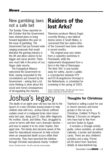### New gambling laws not a safe bet

The Sunday Times reported on 6th October that the Government have shelved plans to bring forward legislation this year on the issue of gambling. The Government had put forward wide ranging proposals that would liberalise the gaming industry in the UK and allow casinos to be bigger and serve alcohol. There was much talk in the press of Las Vegas style resorts.

The Evangelical Alliance welcomed the Government rethink, having responded to the consultations put forward by the Government – asking that a lot more thinking is done about the social and moral consequences of de-regulating the industry.

## **Raiders of the lost Arks?**

Television producer Marcia Engel, currently filming a new biblical drama series in South Wales, is concerned that two replica Arks of the Covenant have been stolen in recent months.

The original prop was stolen from a carpentry workshop in Penclawdd, while the replacement disappeared from a farm in the Vale of Glamorgan. The third "Ark" is now locked away for safety. Jacob's Ladder, a co-production between HTV and EO (Evangelische Omroep) in the Netherlands, is scheduled for screening in the spring of 2003.

Source: Christian Herald – the UK's only inter–church weekly. Subscribe on 01903 602100

## Joshua's legacy

The death of an eight–year–old boy has led to the launch of a new Christian–based project to help children deal with loss. Joshua Deriaz suffered sudden onset of a malignant brain stem tumor early last year, dying just 21 days after diagnosis. His mother, Sarah, and father, Paul, struggled to come to terms with their son's dramatic decline – and how to explain it to his sister Sophie, then aged nine. The family also became aware of the need for educational resources to help schools when an unexpected death occurs within their community. They have launched the initiative through Christian educational charity "cre8ed".

### **Thoughts for Christmas**

Tearfund is selling a pack for use in church services and home groups in the run up to Christmas. Entitled "A Place To Belong" it focuses on refugees who have had to flee from war-torn Sudan to Egypt.

It includes a 20-page activity guide, colour acetates, an advent calendar, a poster and donation cards. There are also children's activities and a play. Priced £4.95 direct from Tearfund, details at www.tearfund.org.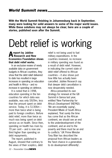**With the World Summit finishing in Johannesburg back in September, many were looking for solid answers to some of the major world issues. While these solutions may not always be clear, here are a couple of stories, published soon after the Summit.**

# Debt relief is working

### **Areport by Jubilee Research and New Economics Foundation shows that debt relief works.**

In an exclusive review of newly available data on government budgets in African countries, they show that the debt relief delivered to date has resulted in large increases in spending on education and health in Africa – and no increase in spending on defence.

It is noted that in 1998, education spending in the ten countries for which data was available, was only \$929m, less than the amount spent on debt service. Today, it is \$1306m – more than twice what is being paid to foreign creditors. Before debt relief, more than twice as much was being spent on debt service as on health. Since then, spending on health has risen by 70 per cent – and is now one third higher than spending on debt repayments.

The report, published in August, showed that contrary to the views of their sceptics, debt relief is not being used to fuel military expenditures. In the countries reviewed, no increase in military spending was found as a result of debt relief. However, in indicating the current state of debt relief offered to African countries – it also shows just how little has actually been cancelled. Jubilee Research say that deeper debt cancellation is now desperately needed.

Africa presented its own strategy for renewal at the G8 Summit in Genoa last year, entitled 'New Partnership for Africa's Development' (NEPAD). 'We are essentially saying', President Mbeki of South Africa explained, 'that surely the time has come that as the African continent, we should see an end to the underdevelopment of the continent, and an end to the poverty and there must be an end to conflicts.' UK Prime Minister Tony Blair has described the proposal from African leaders as the 'best chance in a generation to do development differently'.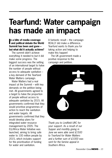## **Tearfund: Water campaign has made an impact**

#### **In a blitz of media coverage<br>
<b>L** and political debate the World **n a blitz of media coverage Summit has been and gone – but what did it actually achieve?**

The summit didn't achieve everything it needed to but it did make some progress. The biggest success was the setting of an international target to halve the number of people without access to adequate sanitation – a key demand of the Tearfund Water Matters campaign.

Water Matters had a real impact at the Summit – with key demands on the petition being met. All governments agreed to a target to halve the proportion of people without access to adequate sanitation by 2015. All governments confirmed that they would prioritise programmes of action to reach the sanitation and water targets. All governments confirmed that they would develop plans for integrated water resource management by 2005. The EU/Africa Water Initiative was launched, aiming to bring safe water to 100 million people by 2015, which includes support for the prioritisation of funding for water and sanitation.

A fantastic result – the campaign REALLY did make a difference. Tearfund wants to thank you for taking action and helping to make this happen!

The UK government made a positive response to the campaign and petition.



*Thank you to Lindfield URC for your support. As a result of our Supper and monthly giving in June we were able send £1500 to Tearfund for Water Matters and a further sum of £1000 was sent for the famine appeal in Southern Africa.*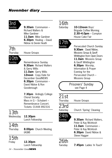## 3rd<br><sub>Sundav</sub>

 $9.30$ am Communion – Richard Walters & Mike Gardiner **11.0am** Mike Gardiner **6.30pm** Healing – David Nibloe & Derek Heath

## 7th<br>Thursday

House Groups

## 10th

Sunday Remembrance Sunday **9.30am** Richard Walters & Gerry Willis **11.0am** Gerry Willis **12noon** Copy Date for December GoodNEWS **6.30pm** Communion – David Nibloe & Ron Goodenough

> **7.30pm** Ardingly College Choral Society. Mass in G – Schubert – Remembrance Concert. Tickets: 01444 892316

## 13th

### Wednesday **12.30pm**

Lunch Fellowship

14th

Thursday **8.00pm** Church Meeting (AGM)

### 15th Friday **12.30pm**

Lunch Fellowship

*14 – November Good***NEWS**

## 16th

Saturday **10-12noon** Boys' Brigade Coffee Morning **2.30–4.0pm** – Compton House Cake Fair



Sunday Persecuted Church Sunday **9.30am** David Nibloe, Missions Group & Geoff Whittington from Open Doors **11.0am** Missions Group & Geoff Whittington **6.30pm** Worship, Information & Prayer Evening for the Persecuted Church – Missions Group

> Prisoners' Sunday see Page 4

### $21st$

Thursday House Groups

### 23rd

Saturday Church 'Spring' Cleaning



Sunday **9.30am** Richard Walters, Peter & Kay McIntosh **11.0am** Communion – Peter & Kay McIntosh **6.30pm** David Nibloe & Steve Hagger

26th

Tuesday **7.45pm** Ladies 'In Touch'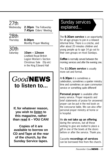## 27th<br>Wednesdav

**2.30pm** The Fellowship **7.45pm** Elders' Meeting

### 28th

Thursday **8.00pm** Monthly Prayer Meeting

30th

Saturday **10am – 12noon** Lindfield Royal British Legion Women's Section Christmas Sale (50p entr.) in the King Edward Hall

## *Good***NEWS to listen to...**

**If, for whatever reason, you wish to listen to this magazine, rather than read it – YOU CAN!**

**Copies of it are available to borrow on CD and Tape at the rear of the church, by the Sunday Service tapes.**

### Sunday services explained...

The **9.30am service** is an opportunity for all age groups to join in a relaxed informal time. There is a crèche, and after about 20 minutes children and young people up to age 14 go out to their own groups on most Sundays.

**Coffee** is normally served between the morning services and after the evening one.

The **11.00am service** is usually more set and formal.

At **6.30pm** it is sometimes a celebration, sometimes a quieter ministry time and sometimes an open communion service or something quite different!

**Personal prayer** is available after every service. Prayer requests and brief statements of praise for answered prayer can be put in the red book on the concourse table. We can also offer personal prayer ministry at home or in hospital.

We **do not take up an offering** during the services, but all those wishing to give are invited to place a gift in one of the bowls at the doors before or after the service. Thank you.

Cassette **recordings of services** can be borrowed free from the church.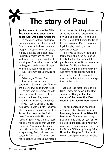## **The story of Paul**

#### **I we begin to read about a man n the book of Acts in the Bible called Saul who hated Christians.**

He searched for them and threw many into prison. One day he went to Damascus as he had heard about a group of Christians there, but on the journey a strange thing happened. Suddenly a great flash of light, like lightening, darted down from the sky and stopped Saul in his tracks. He fell to the ground and covered his eyes. He heard someone call his name.

"Saul! Saul! Why are you trying to kill me?"

"Who are you?" asked Saul. "I am Jesus, who you are persecuting. Go into the city. When you are there you will be told what to do".

The men who were travelling with Saul also heard the voice, but there was no one there. They were amazed. Saul stood up and rubbed his eyes – but he couldn't see! He was blind. He was led into Damascus where a man called Ananias met him. Ananias had been sent by God to make Saul see again. He put his hands on Saul's eyes and said "Jesus has sent me to you so that you may see again. Now you will be a new man, filled with the Holy Spirit". And straight away, Saul could see. He stayed in Damascus for a few days, not to capture Christians but instead

to tell people about the good news of Jesus. He was a completely new man now and he didn't like his old name because of all that it stood for. So he became known as Paul, a brave and loyal disciple, loved by all the followers of Jesus.

Paul loved to visit Christians and talk to them about Jesus. He even travelled to far off places to tell the people about Jesus. But not everyone liked him for this and he was captured and put in prison. While he was there he still praised God and even wrote letters to some of the churches he had visited to encourage them in their faith.

You can read these letters in the Bible – many are books in the New Testament. **Can you find the names of the books that Paul wrote in this month's wordsearch?**

For our **competition** this month, just answer the following question – **how many books of the Bible did Paul write?** The wordsearch may give you some clues! Jot your answer on a piece of paper, along with your name and a contact number. Put it in the GoodNEWS box by Sunday 10th November. The prize for this month is some special pre-Christmas goodies.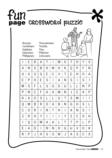|   |                                                                                                                                       |   |   |   |   | page CROSSWORd puzzle |   |   |             |   |   |
|---|---------------------------------------------------------------------------------------------------------------------------------------|---|---|---|---|-----------------------|---|---|-------------|---|---|
|   | Thessalonians<br>Romans<br>Corinthians<br>Timothy<br><b>Titus</b><br>Galatians<br>Philemon<br>Ephesians<br>Phillippians<br>Colossians |   |   |   |   |                       |   |   |             |   |   |
|   | E                                                                                                                                     | R | A | Τ | I | М                     | 0 | Τ | Н           | Υ | S |
| A | Ν                                                                                                                                     | S | B | Н | W | H                     | K | Q | P           | F | Ν |
| U | χ                                                                                                                                     | S | G | E | C | V                     | Τ | E | Н           | 0 | A |
| E | P                                                                                                                                     | H | E | S | I | A                     | Ν | S | I           | S | I |
| M | S                                                                                                                                     | F | L | S | G | D                     | U | L | L           | Ν | P |
| P | N                                                                                                                                     | C | F | A | А | М                     | Ν | J | Е           | A | P |
| Κ | А                                                                                                                                     | 0 | S | L | L | U                     | Τ | S | M           | I | I |
| Q | M                                                                                                                                     | B | R | 0 | A | B                     | Ν | G | 0           | S | L |
| C | 0                                                                                                                                     | R | I | Ν | Τ | H                     | I | A | Ν           | S | I |
| Z | R                                                                                                                                     | Н | Υ | I | I | I                     | Υ | Ζ | C           | 0 | Н |
|   | Q                                                                                                                                     | 0 | M | A | А | L                     | Τ | Τ | P           | L | P |
| E | Α                                                                                                                                     | D |   | N | N | D                     | G | U | ۷           | 0 | Κ |
| R | P                                                                                                                                     | J | Н | S | S | W                     | J | A | $\mathsf S$ | C | χ |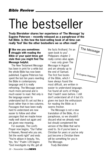# The bestseller

**Trudy Biersteker shares her experience of 'The Message' by Eugene Peterson – recently released as a paraphrase of the full Bible. Is this how the best-selling book of all time can really 'feel' like the other bestsellers we so often read?**

#### **If like me you sometimes**<br>struggle with reading the **f like me you sometimes Bible or your quiet times get stale then you might find The Message helpful.**

The New Testament Message has been in print for a while but the whole Bible has now been published. Eugene Peterson has spent the last ten years rewriting the Bible in contemporary language and it is really refreshing. The Message seems much more personal and is much easier to read. Not only is the language easier to understand but it's set out like a book rather than in two columns. Passages that have been really hard to understand are now easier to follow and other passages that we maybe know really well stand out again and are given new meaning.

For example, The Lord's Prayer now begins, "Our Father in Heaven, Reveal who you are, Set the world right" and ends "You're ablaze in beauty, Yes, Yes, Yes." Psalm 139 begins "God investigate my life; get all the facts firsthand. I'm an open book to you". Philippians chapter 2 really comes alive again.

The Message

I was only given The Message in August and am already up to the end of Samuel. The first five books of the Bible, which I have always found the most diffcult, are written in easier to understand language. I've found all sorts of things that I hadn't seen before. I still don't understand all of it but it's given me back the enthusiasm for reading the Bible as it seems fresher. by Eugene Peterson

The Message is not a new translation of the Bible, it's a paraphrase, so we shouldn't discard what we already read but should complement the version of the Bible that we're used to. So if you've been a Christian for years or you've only just become a Christian there will be something for you in The Message.

*Trudy Biersteker*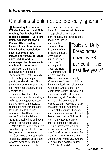## Christians should not be 'Biblically ignorant'

**Alarmed by the national decline in personal Bible reading, four leading Bible reading agencies – Scripture Union, Crusade for World Revival, Bible Reading Fellowship and International Bible Reading Association – have launched a new initiative to nurture personal daily reading and to encourage church leaders to teach on its importance.**

Grow with the Bible is a campaign to help people rediscover the benefits of daily Bible reading, resulting in a growing relationship with God, transformation of character and a growing understanding of the Christian faith.

Denominational and church leaders are currently circulating a leaflet to congregations around the UK, aimed at the average churchgoer with little interest in the Bible. The leaflet uses samples of the different literary genres found in the Bible – including travel, crime and poetry writing – to hook the reader.

With sales of Daily Bread notes down by 33 per cent in the past five years, and other notes down by 10 per cent, a new approach is needed. Scripture Union's John Grayston says it's hard to pin down any one reason for the

decline in the traditional 'quiet time'. A postmodern reluctance to accept absolute truth plays a part, he feels, and 'personal Bible

reading no longer receives the same emphasis in church. Often preaching doesn't even include much Bible text and doesn't excite people about the Bible.' Christians who

do not know their

Bibles cannot make a healthy Church, says Grayston. '[Biblical ignorance] leads to problems for Christians, who are uncertain about their relationship with God. This makes it difficult to witness, because they don't really know what they believe. And their values systems become virtually the same as non–Christians.'

Part of the solution, therefore, must come from leaders: if church leaders want mature Christians in their congregations, then they must be nurtured in the Bible.

*A free introductory set of Grow with the Bible notes for a month is downloadable from the website at www.grow-with-thebible.org.uk Printed versions are available for a nominal charge. Tel: (01442) 873109.*

"Sales of Daily Bread notes down by 33 per cent in the past five years"

> Originally published in IDEA magazine of the Evangelical Alliance. Originally published in IDEA magazine of the Evangelical Alliance.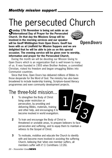## The persecuted Church

**Sunday 17th November is being set aside as an International Day of Prayer for the Persecuted Church. On that day the Missions Group will be involved in the morning services and our speaker will be Geoff Whittington from Open Doors. Geoff has been with us at Lindfield for Mission Suppers and we are delighted that he will be able to join us on this special occasion. The evening service will be given over to worship, information and prayer for the Persecuted Church.** 



 $1/2$ 

Open Doors

During the month we will be devoting our Mission Giving to Open Doors which is an organization that is well known to many of us. It was founded in 1955 when Brother Andrew, a committed Christian, risked his freedom and began smuggling Bibles into Communist countries.

Since that time, Open Doors has delivered millions of Bibles to those desperate for the Word of God. The ministry has also been broadened to include leadership training, Scripture–based literacy programmes and even community development projects.

### The three-fold mission...

- **1** To strengthen the Body of Christ living under restriction or persecution, by providing and delivering Bibles, materials, training and other help, and encouraging it to become involved in world evangelism.
- **2** To train and encourage the Body of Christ in threatened or unstable areas, to prepare believers to face persecution and suffering, and to equip them to maintain a witness to the Gospel of Christ. 3
- **3** To motivate, mobilise and educate the Church to identify with and become more involved in assisting the suffering Church, believing that 'when one member suffers, all members suffer with it' (1 Corinthians 12:26).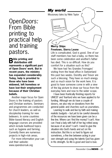### *My world*

taylorn@ mercyships.org

Missionary tales by Nikki Taylor

## Open*Doors:* From Bible printing to practical help and training pastors.

**Bible printing and distribution still represents a significant part of Open Doors' work. But in recent years, the ministry has expanded considerably. Today, help is provided to those who have been widowed, left homeless or have lost their employment because of their Christian beliefs.**

Another major focus for Open Doors is the training of pastors and Christian workers. Seminars and programmes are conducted for church leaders, as well as discipleship training for new believers. In some countries Bible–based literacy and English language courses are provided which include livelihood topics such as hygiene and farming. Currently there are numerous projects in high–risk areas.

For more information your can visit their website: www.opendoorsuk.org

#### **Mercy Ships Freetown, Sierra Leone**

Life is complicated. God is good. One of our staff members has had a baby, so there has been some celebration and another's father has died. This is so difficult. How do you comfort for a situation such as this?

We have had 'les Grandes Fromages' visiting from the head office in Switzerland this past two weeks. Dorothy and Trevor are such a blessing. They have so much energy and so much vision for the work here. It is good to have someone come in with a view of the big picture to draw our focus from the everyday here and now to the wider scope.

I have been frantically finishing reports for UNICEF and Tearfund who we have applied to for funding. Although we do have a couple of donors, we also rely on donations from the general public and churches such as yourselves.

Learning to walk and live by faith and making realistic budgets – but yet to be careful stewards of the resources we have been given can be a fine line. Where can *I* find the money? *I* can't. How can *I* heal a lady with half of her leg rotted away because of an ulcer? *I* can't. I need to give the situation into God's hands and act on His instruction. But this is so hard to figure out sometimes, a fine line between acting in your own strength and using the talents God has given in His strength. So life is good and God is love.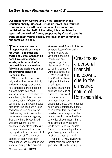**Our friend from Catford and UK co–ordinator of the Christian charity, Cascaid, Dr Dickie Twort, has returned from Radauti in north east Romania. Last month we published the first half of the letter, this completes his report of the work of Dorca, supported by Cascaid, and its work amongst young people, the local gypsy community and families in need.**

**These have not been a happy couple of months for Orest – a founder and trustee of Dorca. Although he does have some capital assets, he faces a bit of a personal financial meltdown following the accident, due to the uninsured nature of Romanian life.** 

**"**

"When I saw him, he could only walk with extreme difficulty and pain. Among other things, he'd suffered a broken bone in his foot, which had been internally pinned. From what I've since heard, this has now been removed, but an infection has set in, and he's in a worse state than ever. The accident in June had been caused by a young child running out in front of his car across a dual carriageway. Tragically the child was killed, and although there is no question of any blame attaching to Orest, he may still have to pay significant reparations out of his own pocket. The car was completely lost without any recompense, and he cannot now work (receiving only a minimal

sickness benefit). Add to this the separate issue of the family having to leave the vet's flat in the next month, and one begins to get the idea of what it's like to live in a country

without a safety–net. "As a result of all this, Orest has been toying with the idea of selling up his personal share in the buildings and land at Sucevita. This would of course have enormous knock–on

effects for Dorca, and indeed for next year's conference. In fact, even without this uncertainty, a question mark hangs over the venue. New Romanian health and safety legislation means than a huge amount of investment would have to be poured into Sucevita to make it legal for next year. Frankly, we don't know what to do about this one!

"Papa at 70 (yes, seventy!) is indefatigable! We were able to give him £800 in the spring, so

Orest faces a personal financial meltdown... due to the uninsured nature of Romanian life.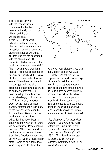that he could carry on with the reconstruction of some of the terrible housing in the Gypsy village, and this time we passed on a further £120 to support education in the community. This provided a term's worth of necessities for 40 children, who along with another 20 Gypsy children who are not connected with the church, and 60 Romanian children, make up the local primary school (ages 6–12). This is looking very promising indeed – Papa has succeeded in encouraging nearly all the Gypsy children to attend school, where some of them have performed exceedingly well, and also arranged competitions and prizes to add to the interest. Our donation will go towards school essentials – bags, books and pens.

"This is a vitally important work for the future of these people, remembering that many of the parent's generation (ie those in their 30s) can neither read nor write, and formal education has never been a priority to their way of life. Dare we be optimistic? Papa explains his heart: 'When I was a child we lived in even worse conditions than these Gypsies do now, and yet now we live in a much better state. I want to help them too'. Which only goes to show that,



whatever your situation, you can look at it in one of two ways!

Finally – it's not too late to sign up to our Pupil Sponsorship Scheme! Do ask for details if you'd like to support a young Romanian student through school in Radauti (the scheme builds in general support for the whole school too). This is a personal way in which you can make a real difference to talented people living in uncertain times. It will also hopefully provide you with a unique window into life in Romania!"

*So, please pray for these dear people. If you would like more information about the Gypsy sponsorship scheme why not speak to John Barling (01444 482415) or Ron Goodenough (01825 740351) of our Missions Committee who will be pleased to advise.*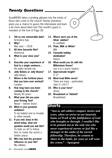### *Twenty Questions*

GoodNEWS takes a probing glimpse into the minds of those who come to the church! Twenty Questions gives you a chance to guess the interviewee and learn a bit more about them too! This month's guest is revealed on the foot of Page 28.

- **1. Tell us one memorable date?** Armistice Day
- **2. Why?** War over – 1918
- **3. All time favourite film? Historical**
- **4. What is your shoe size?** 5
- **5. Describe your experience of God in a single sentence...** He walks beside me.
- **6. Jelly Babies or Jelly Beans?** Jelly Beans
- **7. Where is the furthest place that you have ever worked?** London
- **8. How long have you been coming to this church?** Nearly 40 years
- **9. What year did you pass your Driving Test?** Never – before tests!
- **10. What is your greatest ambition?** To be helpful and no trouble to other people.
- **11. If you met Jesus in the street today, what one question would you ask Him?** To help us all to follow Him to make the world a better place.
- **12. Who has had the greatest influence on your life?** My children.
- **13. Where were you at the Silver Jubilee?** In Lindfield
- **14. Plain, Milk or White?** Milk
- **15. Favourite holiday destination? Venice**
- **16. What would you do with the Millennium Dome?** Use it as a sports stadium.
- **17. Approximate height?** 5' 2"
- **18. Most-read Bible verse?** There are many – particularly John 3: v16-17
- **19. Who is your hero?** Jesus
- **20. Broadsheet or Tabloid? Broadsheet**

### **Shorts**

*"Just as old soldiers compare stories and scars, when we arrive at our heavenly home we'll tell of the faithfulness of God who brought us through. I wouldn't like to be pointed out as the only one who never experienced sorrow or feel like a stranger in the midst of the sacred fellowship. Therefore, be content to share in the battle, for soon we will wear the crown."* **– Spurgeon**

*24 – November Good***NEWS**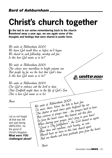## **Christ's church together**

In the last in our series remembering back to the chumber again some of the searage, we see again some of the **n the last in our series remembering back to the church thoughts and feelings that were shared in poetic form.** 

We unite at Ashburnham 2001 We knew God would bless us before we'd begun We shared in such fellowship, worship and fun Is this how God wants us to be?

We unite at Ashburnham 2001 The colours were marvellous in bright autumn sun But people by far are the best that God's done Is this how God wants us to be?

We unite at Ashburnham 2001 Our God to embrace and the devil to shun That Lindfield might share in the life of God's Son This is how God wants us to be!

Let us not forget all that was felt and said during UNITE2001, for the good of Christ's Kingdom. **What were YOU challenged about?**

Anon 11 mile at Achhurnham 2001 To meet, share, listen, the kids to have fun. The chatter at meal times quite deafened the ear But converse at prayer time - the prayers hard to hear. So from the heart comes this lament and this plea When sharing your prayer, don't pray to your knee! "Great is Thy faithfulness", the Lord showed us again Blue skies and sunshine, such beauty, no rain Blessed have we been in this time shared apart And our thanks and deep gratitude pour from the heart.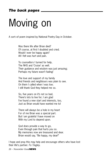# Moving on

A sort–of poem inspired by National Poetry Day in October.

Was there life after Brian died? Of course, at first I doubted and cried. Would I ever be happy again? All I felt was hurt and pain.

To counsellors I turned for help, The NHS and 'Cruise' as well. Their guidance and wisdom was just amazing; Perhaps my future wasn't fading!

The love and support of my family And friends and neighbours was plain to see. On them I called when I was low; I still thank God they helped me so.

So, five years on it's not so bad, There's lots to live for; I am glad I've found a new start and interests, too, Just as Brian would have wanted me to!

There will always be a hole in my heart For of me Brian was a special part. But I am grateful I have moved on With my Lord to depend upon.

God does provide a way to go, Even through pain that hurts you so. My memories now are treasured and dear. Brian would say, "Be happy, my dear!"

I hope and pray this may help and encourage others who have lost their life's partner. *Fo Tingley.*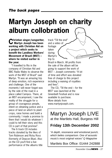## **Martyn Joseph on charity album collobration**

**Christian singer/songwriter, Martyn Joseph has been working with Christian Aid on a project which seeks to benefit the Landless Workers' Movement of Brazil (MST) – where he visited earlier in the year.** 

"I travelled to Rio in the company of Christian Aid and BBC Radio Wales to observe the work of the MST of Brazil" said Martyn. "It was an amazing trip of deep emotion, rich experience and challenge. One of the moments I will never forget was by the side of the road in a place called Campos. There, at an MST encampment, I saw the reality of the struggle for a group of courageous people, intent on obtaining justice and a piece of land on which to plant crops, raise homes and build a community. I made a promise to them that I would do whatever I could to tell their story and this CD is part of that promise".

The 6 track CD includes tracks donated by the likes of Tom Robinson and Ricky Ross (formerly of Deacon Blue). Also on the CD you'll find a live performance of the albums title track "Till the end" and a video of footage taken during Martyn's trip to

Brazil in March. All profits from the sale of the album will be going to support the work of MST – Joseph comments: "A lot of time and effort was donated free of charge to this project including a waiving of royalties and fees".

The CD, 'Till the end – for the MST' was launched at the Greenbelt Fesitval and is now available to purchase. More details from www.martynjoseph.com.

### Martyn Joseph LIVE at the Martlets Hall, Burgess Hill

### **Friday 13th December 2002**

"A depth, resonance and emotional punch, which belies comparison. One of acoustic music's most original voices" Q Magazine

Martlets Box Office: 01444 242888